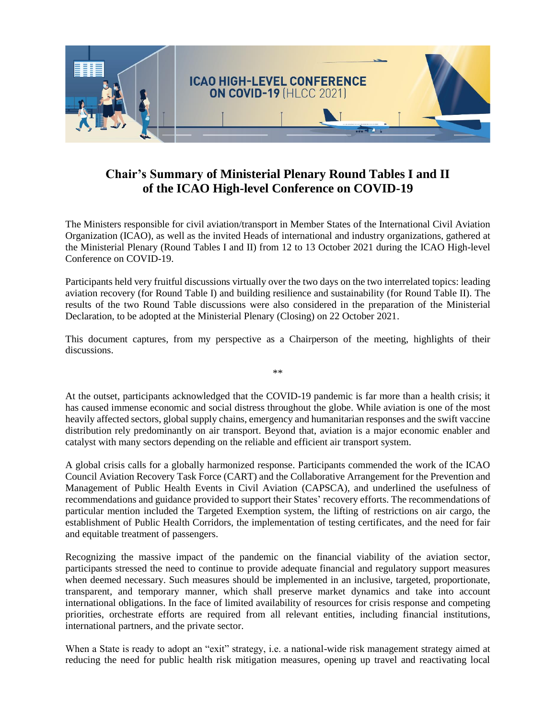

## **Chair's Summary of Ministerial Plenary Round Tables I and II of the ICAO High-level Conference on COVID-19**

The Ministers responsible for civil aviation/transport in Member States of the International Civil Aviation Organization (ICAO), as well as the invited Heads of international and industry organizations, gathered at the Ministerial Plenary (Round Tables I and II) from 12 to 13 October 2021 during the ICAO High-level Conference on COVID-19.

Participants held very fruitful discussions virtually over the two days on the two interrelated topics: leading aviation recovery (for Round Table I) and building resilience and sustainability (for Round Table II). The results of the two Round Table discussions were also considered in the preparation of the Ministerial Declaration, to be adopted at the Ministerial Plenary (Closing) on 22 October 2021.

This document captures, from my perspective as a Chairperson of the meeting, highlights of their discussions.

\*\*

At the outset, participants acknowledged that the COVID-19 pandemic is far more than a health crisis; it has caused immense economic and social distress throughout the globe. While aviation is one of the most heavily affected sectors, global supply chains, emergency and humanitarian responses and the swift vaccine distribution rely predominantly on air transport. Beyond that, aviation is a major economic enabler and catalyst with many sectors depending on the reliable and efficient air transport system.

A global crisis calls for a globally harmonized response. Participants commended the work of the ICAO Council Aviation Recovery Task Force (CART) and the Collaborative Arrangement for the Prevention and Management of Public Health Events in Civil Aviation (CAPSCA), and underlined the usefulness of recommendations and guidance provided to support their States' recovery efforts. The recommendations of particular mention included the Targeted Exemption system, the lifting of restrictions on air cargo, the establishment of Public Health Corridors, the implementation of testing certificates, and the need for fair and equitable treatment of passengers.

Recognizing the massive impact of the pandemic on the financial viability of the aviation sector, participants stressed the need to continue to provide adequate financial and regulatory support measures when deemed necessary. Such measures should be implemented in an inclusive, targeted, proportionate, transparent, and temporary manner, which shall preserve market dynamics and take into account international obligations. In the face of limited availability of resources for crisis response and competing priorities, orchestrate efforts are required from all relevant entities, including financial institutions, international partners, and the private sector.

When a State is ready to adopt an "exit" strategy, i.e. a national-wide risk management strategy aimed at reducing the need for public health risk mitigation measures, opening up travel and reactivating local